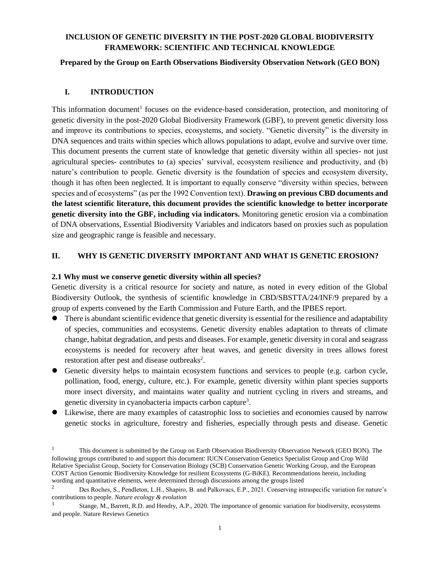# **INCLUSION OF GENETIC DIVERSITY IN THE POST-2020 GLOBAL BIODIVERSITY FRAMEWORK: SCIENTIFIC AND TECHNICAL KNOWLEDGE**

### **Prepared by the Group on Earth Observations Biodiversity Observation Network (GEO BON)**

## **I. INTRODUCTION**

This information document<sup>1</sup> focuses on the evidence-based consideration, protection, and monitoring of genetic diversity in the post-2020 Global Biodiversity Framework (GBF), to prevent genetic diversity loss and improve its contributions to species, ecosystems, and society. "Genetic diversity" is the diversity in DNA sequences and traits within species which allows populations to adapt, evolve and survive over time. This document presents the current state of knowledge that genetic diversity within all species- not just agricultural species- contributes to (a) species' survival, ecosystem resilience and productivity, and (b) nature's contribution to people. Genetic diversity is the foundation of species and ecosystem diversity, though it has often been neglected. It is important to equally conserve "diversity within species, between species and of ecosystems" (as per the 1992 Convention text). **Drawing on previous CBD documents and the latest scientific literature, this document provides the scientific knowledge to better incorporate genetic diversity into the GBF, including via indicators.** Monitoring genetic erosion via a combination of DNA observations, Essential Biodiversity Variables and indicators based on proxies such as population size and geographic range is feasible and necessary.

## **II. WHY IS GENETIC DIVERSITY IMPORTANT AND WHAT IS GENETIC EROSION?**

## **2.1 Why must we conserve genetic diversity within all species?**

Genetic diversity is a critical resource for society and nature, as noted in every edition of the Global Biodiversity Outlook, the synthesis of scientific knowledge in CBD/SBSTTA/24/INF/9 prepared by a group of experts convened by the Earth Commission and Future Earth, and the IPBES report.

- ⚫ There is abundant scientific evidence that genetic diversity is essential for the resilience and adaptability of species, communities and ecosystems. Genetic diversity enables adaptation to threats of climate change, habitat degradation, and pests and diseases. For example, genetic diversity in coral and seagrass ecosystems is needed for recovery after heat waves, and genetic diversity in trees allows forest restoration after pest and disease outbreaks<sup>2</sup>.
- Genetic diversity helps to maintain ecosystem functions and services to people (e.g. carbon cycle, pollination, food, energy, culture, etc.). For example, genetic diversity within plant species supports more insect diversity, and maintains water quality and nutrient cycling in rivers and streams, and genetic diversity in cyanobacteria impacts carbon capture<sup>3</sup>.
- ⚫ Likewise, there are many examples of catastrophic loss to societies and economies caused by narrow genetic stocks in agriculture, forestry and fisheries, especially through pests and disease. Genetic

<sup>&</sup>lt;sup>1</sup> This document is submitted by the Group on Earth Observation Biodiversity Observation Network (GEO BON). The following groups contributed to and support this document: IUCN Conservation Genetics Specialist Group and Crop Wild Relative Specialist Group, Society for Conservation Biology (SCB) Conservation Genetic Working Group, and the European COST Action Genomic Biodiversity Knowledge for resilient Ecosystems (G-BiKE). Recommendations herein, including wording and quantitative elements, were determined through discussions among the groups listed

<sup>&</sup>lt;sup>2</sup> Des Roches, S., Pendleton, L.H., Shapiro, B. and Palkovacs, E.P., 2021. Conserving intraspecific variation for nature's contributions to people. *Nature ecology & evolution*

<sup>3</sup> Stange, M., Barrett, R.D. and Hendry, A.P., 2020. The importance of genomic variation for biodiversity, ecosystems and people. Nature Reviews Genetics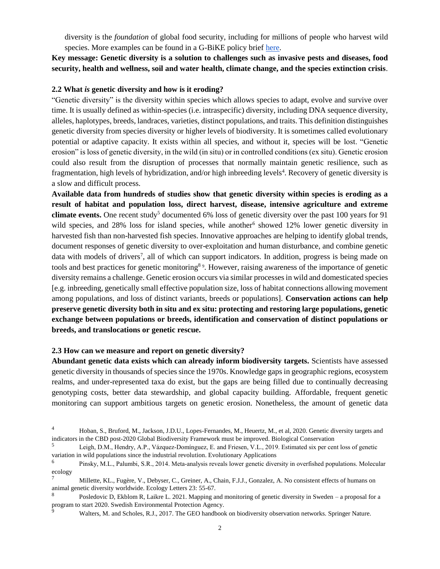diversity is the *foundation* of global food security, including for millions of people who harvest wild species. More examples can be found in a G-BiKE policy brief [here.](https://sites.google.com/fmach.it/g-bike-genetics-eu/policy-briefs/policy-brief_january-2020-translated?authuser=0)

**Key message: Genetic diversity is a solution to challenges such as invasive pests and diseases, food security, health and wellness, soil and water health, climate change, and the species extinction crisis**.

#### **2.2 What** *is* **genetic diversity and how is it eroding?**

"Genetic diversity" is the diversity within species which allows species to adapt, evolve and survive over time. It is usually defined as within-species (i.e. intraspecific) diversity, including DNA sequence diversity, alleles, haplotypes, breeds, landraces, varieties, distinct populations, and traits. This definition distinguishes genetic diversity from species diversity or higher levels of biodiversity. It is sometimes called evolutionary potential or adaptive capacity. It exists within all species, and without it, species will be lost. "Genetic erosion" is loss of genetic diversity, in the wild (in situ) or in controlled conditions (ex situ). Genetic erosion could also result from the disruption of processes that normally maintain genetic resilience, such as fragmentation, high levels of hybridization, and/or high inbreeding levels<sup>4</sup>. Recovery of genetic diversity is a slow and difficult process.

**Available data from hundreds of studies show that genetic diversity within species is eroding as a result of habitat and population loss, direct harvest, disease, intensive agriculture and extreme climate events.** One recent study<sup>5</sup> documented 6% loss of genetic diversity over the past 100 years for 91 wild species, and 28% loss for island species, while another<sup>6</sup> showed 12% lower genetic diversity in harvested fish than non-harvested fish species. Innovative approaches are helping to identify global trends, document responses of genetic diversity to over-exploitation and human disturbance, and combine genetic data with models of drivers<sup>7</sup>, all of which can support indicators. In addition, progress is being made on tools and best practices for genetic monitoring<sup>89</sup>. However, raising awareness of the importance of genetic diversity remains a challenge. Genetic erosion occurs via similar processes in wild and domesticated species [e.g. inbreeding, genetically small effective population size, loss of habitat connections allowing movement among populations, and loss of distinct variants, breeds or populations]. **Conservation actions can help preserve genetic diversity both in situ and ex situ: protecting and restoring large populations, genetic exchange between populations or breeds, identification and conservation of distinct populations or breeds, and translocations or genetic rescue.**

#### **2.3 How can we measure and report on genetic diversity?**

**Abundant genetic data exists which can already inform biodiversity targets.** Scientists have assessed genetic diversity in thousands of species since the 1970s. Knowledge gaps in geographic regions, ecosystem realms, and under-represented taxa do exist, but the gaps are being filled due to continually decreasing genotyping costs, better data stewardship, and global capacity building. Affordable, frequent genetic monitoring can support ambitious targets on genetic erosion. Nonetheless, the amount of genetic data

Walters, M. and Scholes, R.J., 2017. The GEO handbook on biodiversity observation networks. Springer Nature.

<sup>4</sup> Hoban, S., Bruford, M., Jackson, J.D.U., Lopes-Fernandes, M., Heuertz, M., et al, 2020. Genetic diversity targets and indicators in the CBD post-2020 Global Biodiversity Framework must be improved. Biological Conservation

<sup>5</sup> Leigh, D.M., Hendry, A.P., Vázquez‐Domínguez, E. and Friesen, V.L., 2019. Estimated six per cent loss of genetic variation in wild populations since the industrial revolution. Evolutionary Applications

<sup>6</sup> Pinsky, M.L., Palumbi, S.R., 2014. Meta‐analysis reveals lower genetic diversity in overfished populations. Molecular ecology

<sup>7</sup> Millette, KL., Fugère, V., Debyser, C., Greiner, A., Chain, F.J.J., Gonzalez, A. No consistent effects of humans on animal genetic diversity worldwide. Ecology Letters 23: 55-67.

<sup>8</sup> Posledovic D, Ekblom R, Laikre L. 2021. Mapping and monitoring of genetic diversity in Sweden – a proposal for a program to start 2020. Swedish Environmental Protection Agency.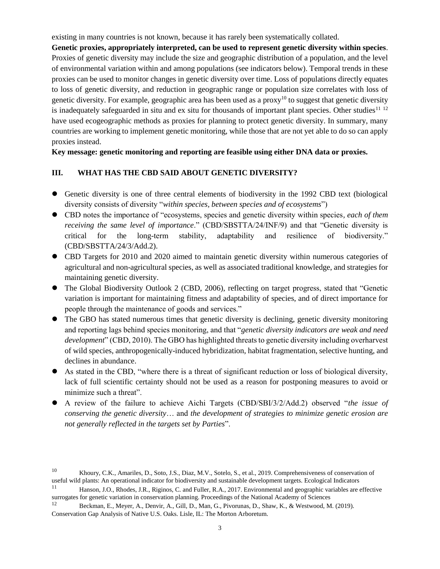existing in many countries is not known, because it has rarely been systematically collated.

**Genetic proxies, appropriately interpreted, can be used to represent genetic diversity within species**. Proxies of genetic diversity may include the size and geographic distribution of a population, and the level of environmental variation within and among populations (see indicators below). Temporal trends in these proxies can be used to monitor changes in genetic diversity over time. Loss of populations directly equates to loss of genetic diversity, and reduction in geographic range or population size correlates with loss of genetic diversity. For example, geographic area has been used as a proxy<sup>10</sup> to suggest that genetic diversity is inadequately safeguarded in situ and ex situ for thousands of important plant species. Other studies<sup>11 12</sup> have used ecogeographic methods as proxies for planning to protect genetic diversity. In summary, many countries are working to implement genetic monitoring, while those that are not yet able to do so can apply proxies instead.

# **Key message: genetic monitoring and reporting are feasible using either DNA data or proxies.**

# **III. WHAT HAS THE CBD SAID ABOUT GENETIC DIVERSITY?**

- ⚫ Genetic diversity is one of three central elements of biodiversity in the 1992 CBD text (biological diversity consists of diversity "*within species, between species and of ecosystems*")
- ⚫ CBD notes the importance of "ecosystems, species and genetic diversity within species*, each of them receiving the same level of importance*." (CBD/SBSTTA/24/INF/9) and that "Genetic diversity is critical for the long-term stability, adaptability and resilience of biodiversity." (CBD/SBSTTA/24/3/Add.2).
- ⚫ CBD Targets for 2010 and 2020 aimed to maintain genetic diversity within numerous categories of agricultural and non-agricultural species, as well as associated traditional knowledge, and strategies for maintaining genetic diversity.
- The Global Biodiversity Outlook 2 (CBD, 2006), reflecting on target progress, stated that "Genetic variation is important for maintaining fitness and adaptability of species, and of direct importance for people through the maintenance of goods and services."
- ⚫ The GBO has stated numerous times that genetic diversity is declining, genetic diversity monitoring and reporting lags behind species monitoring, and that "*genetic diversity indicators are weak and need development*" (CBD, 2010). The GBO has highlighted threats to genetic diversity including overharvest of wild species, anthropogenically-induced hybridization, habitat fragmentation, selective hunting, and declines in abundance.
- ⚫ As stated in the CBD, "where there is a threat of significant reduction or loss of biological diversity, lack of full scientific certainty should not be used as a reason for postponing measures to avoid or minimize such a threat".
- A review of the failure to achieve Aichi Targets (CBD/SBI/3/2/Add.2) observed "*the issue of conserving the genetic diversity*… and *the development of strategies to minimize genetic erosion are not generally reflected in the targets set by Parties*".

<sup>10</sup> Khoury, C.K., Amariles, D., Soto, J.S., Diaz, M.V., Sotelo, S., et al., 2019. Comprehensiveness of conservation of useful wild plants: An operational indicator for biodiversity and sustainable development targets. Ecological Indicators

 $11$  Hanson, J.O., Rhodes, J.R., Riginos, C. and Fuller, R.A., 2017. Environmental and geographic variables are effective surrogates for genetic variation in conservation planning. Proceedings of the National Academy of Sciences

<sup>12</sup> Beckman, E., Meyer, A., Denvir, A., Gill, D., Man, G., Pivorunas, D., Shaw, K., & Westwood, M. (2019). Conservation Gap Analysis of Native U.S. Oaks. Lisle, IL: The Morton Arboretum.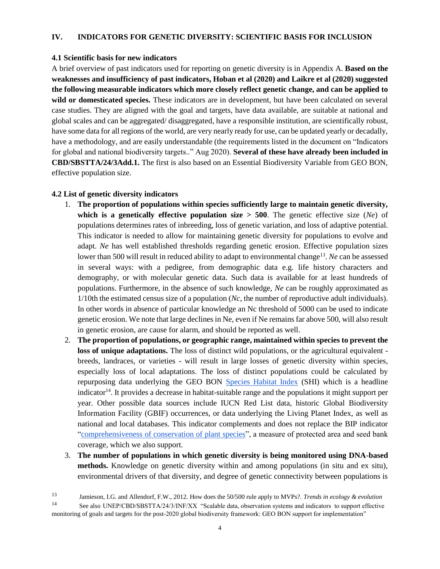#### **IV. INDICATORS FOR GENETIC DIVERSITY: SCIENTIFIC BASIS FOR INCLUSION**

#### **4.1 Scientific basis for new indicators**

A brief overview of past indicators used for reporting on genetic diversity is in Appendix A. **Based on the weaknesses and insufficiency of past indicators, Hoban et al (2020) and Laikre et al (2020) suggested the following measurable indicators which more closely reflect genetic change, and can be applied to wild or domesticated species.** These indicators are in development, but have been calculated on several case studies. They are aligned with the goal and targets, have data available, are suitable at national and global scales and can be aggregated/ disaggregated, have a responsible institution, are scientifically robust, have some data for all regions of the world, are very nearly ready for use, can be updated yearly or decadally, have a methodology, and are easily understandable (the requirements listed in the document on "Indicators for global and national biodiversity targets.." Aug 2020). **Several of these have already been included in CBD/SBSTTA/24/3Add.1.** The first is also based on an Essential Biodiversity Variable from GEO BON, effective population size.

# **4.2 List of genetic diversity indicators**

- 1. **The proportion of populations within species sufficiently large to maintain genetic diversity, which is a genetically effective population size**  $> 500$ **. The genetic effective size (***Ne***) of** populations determines rates of inbreeding, loss of genetic variation, and loss of adaptive potential. This indicator is needed to allow for maintaining genetic diversity for populations to evolve and adapt. *Ne* has well established thresholds regarding genetic erosion. Effective population sizes lower than 500 will result in reduced ability to adapt to environmental change<sup>13</sup>. Ne can be assessed in several ways: with a pedigree, from demographic data e.g. life history characters and demography, or with molecular genetic data. Such data is available for at least hundreds of populations. Furthermore, in the absence of such knowledge, *Ne* can be roughly approximated as 1/10th the estimated census size of a population (*Nc*, the number of reproductive adult individuals). In other words in absence of particular knowledge an Nc threshold of 5000 can be used to indicate genetic erosion. We note that large declines in Ne, even if Ne remains far above 500, will also result in genetic erosion, are cause for alarm, and should be reported as well.
- 2. **The proportion of populations, or geographic range, maintained within species to prevent the loss of unique adaptations.** The loss of distinct wild populations, or the agricultural equivalent breeds, landraces, or varieties - will result in large losses of genetic diversity within species, especially loss of local adaptations. The loss of distinct populations could be calculated by repurposing data underlying the GEO BON [Species Habitat Index](https://cdn.mol.org/static/files/indicators/habitat/GEOBON_Species_Habitat_Index.pdf) (SHI) which is a headline indicator<sup>14</sup>. It provides a decrease in habitat-suitable range and the populations it might support per year. Other possible data sources include IUCN Red List data, historic Global Biodiversity Information Facility (GBIF) occurrences, or data underlying the Living Planet Index, as well as national and local databases. This indicator complements and does not replace the BIP indicator ["comprehensiveness of conservation of plant species"](https://www.bipindicators.net/indicators/comprehensiveness-of-conservation-of-socioeconomically-as-well-as-culturally-valuable-species), a measure of protected area and seed bank coverage, which we also support.
- 3. **The number of populations in which genetic diversity is being monitored using DNA-based methods.** Knowledge on genetic diversity within and among populations (in situ and ex situ), environmental drivers of that diversity, and degree of genetic connectivity between populations is

<sup>13</sup> Jamieson, I.G. and Allendorf, F.W., 2012. How does the 50/500 rule apply to MVPs?. *Trends in ecology & evolution*

<sup>&</sup>lt;sup>14</sup> See also UNEP/CBD/SBSTTA/24/3/INF/XX "Scalable data, observation systems and indicators to support effective monitoring of goals and targets for the post-2020 global biodiversity framework: GEO BON support for implementation"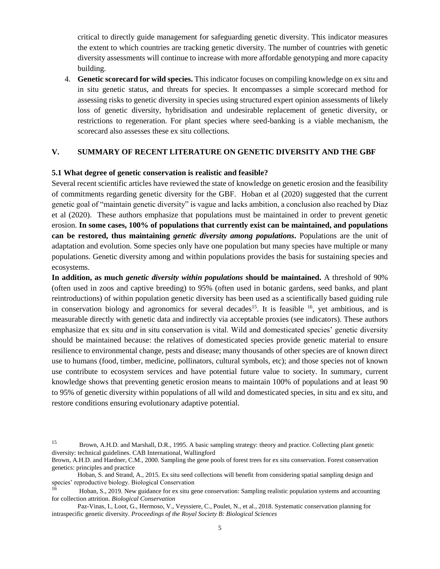critical to directly guide management for safeguarding genetic diversity. This indicator measures the extent to which countries are tracking genetic diversity. The number of countries with genetic diversity assessments will continue to increase with more affordable genotyping and more capacity building.

4. **Genetic scorecard for wild species.** This indicator focuses on compiling knowledge on ex situ and in situ genetic status, and threats for species. It encompasses a simple scorecard method for assessing risks to genetic diversity in species using structured expert opinion assessments of likely loss of genetic diversity, hybridisation and undesirable replacement of genetic diversity, or restrictions to regeneration. For plant species where seed-banking is a viable mechanism, the scorecard also assesses these ex situ collections.

## **V. SUMMARY OF RECENT LITERATURE ON GENETIC DIVERSITY AND THE GBF**

#### **5.1 What degree of genetic conservation is realistic and feasible?**

Several recent scientific articles have reviewed the state of knowledge on genetic erosion and the feasibility of commitments regarding genetic diversity for the GBF. Hoban et al (2020) suggested that the current genetic goal of "maintain genetic diversity" is vague and lacks ambition, a conclusion also reached by Diaz et al (2020). These authors emphasize that populations must be maintained in order to prevent genetic erosion. **In some cases, 100% of populations that currently exist can be maintained, and populations can be restored, thus maintaining** *genetic diversity among populations***.** Populations are the unit of adaptation and evolution. Some species only have one population but many species have multiple or many populations. Genetic diversity among and within populations provides the basis for sustaining species and ecosystems.

**In addition, as much** *genetic diversity within populations* **should be maintained.** A threshold of 90% (often used in zoos and captive breeding) to 95% (often used in botanic gardens, seed banks, and plant reintroductions) of within population genetic diversity has been used as a scientifically based guiding rule in conservation biology and agronomics for several decades<sup>15</sup>. It is feasible  $16$ , yet ambitious, and is measurable directly with genetic data and indirectly via acceptable proxies (see indicators). These authors emphasize that ex situ *and* in situ conservation is vital. Wild and domesticated species' genetic diversity should be maintained because: the relatives of domesticated species provide genetic material to ensure resilience to environmental change, pests and disease; many thousands of other species are of known direct use to humans (food, timber, medicine, pollinators, cultural symbols, etc); and those species not of known use contribute to ecosystem services and have potential future value to society. In summary, current knowledge shows that preventing genetic erosion means to maintain 100% of populations and at least 90 to 95% of genetic diversity within populations of all wild and domesticated species, in situ and ex situ, and restore conditions ensuring evolutionary adaptive potential.

<sup>15</sup> Brown, A.H.D. and Marshall, D.R., 1995. A basic sampling strategy: theory and practice. Collecting plant genetic diversity: technical guidelines. CAB International, Wallingford

Brown, A.H.D. and Hardner, C.M., 2000. Sampling the gene pools of forest trees for ex situ conservation. Forest conservation genetics: principles and practice

Hoban, S. and Strand, A., 2015. Ex situ seed collections will benefit from considering spatial sampling design and species' reproductive biology. Biological Conservation

<sup>16</sup> Hoban, S., 2019. New guidance for ex situ gene conservation: Sampling realistic population systems and accounting for collection attrition. *Biological Conservation*

Paz-Vinas, I., Loot, G., Hermoso, V., Veyssiere, C., Poulet, N., et al., 2018. Systematic conservation planning for intraspecific genetic diversity. *Proceedings of the Royal Society B: Biological Sciences*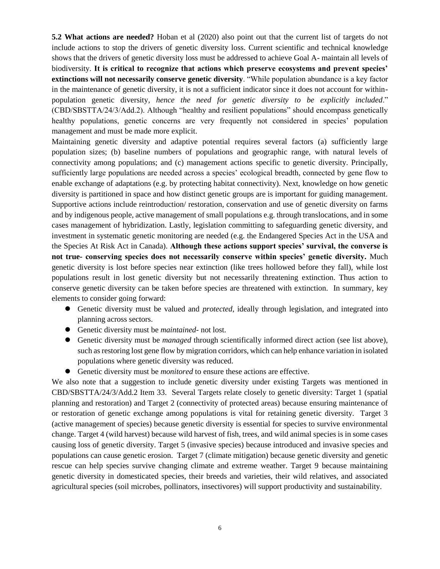**5.2 What actions are needed?** Hoban et al (2020) also point out that the current list of targets do not include actions to stop the drivers of genetic diversity loss. Current scientific and technical knowledge shows that the drivers of genetic diversity loss must be addressed to achieve Goal A- maintain all levels of biodiversity. **It is critical to recognize that actions which preserve ecosystems and prevent species' extinctions will not necessarily conserve genetic diversity**. "While population abundance is a key factor in the maintenance of genetic diversity, it is not a sufficient indicator since it does not account for withinpopulation genetic diversity*, hence the need for genetic diversity to be explicitly included*." (CBD/SBSTTA/24/3/Add.2). Although "healthy and resilient populations" should encompass genetically healthy populations, genetic concerns are very frequently not considered in species' population management and must be made more explicit.

Maintaining genetic diversity and adaptive potential requires several factors (a) sufficiently large population sizes; (b) baseline numbers of populations and geographic range, with natural levels of connectivity among populations; and (c) management actions specific to genetic diversity. Principally, sufficiently large populations are needed across a species' ecological breadth, connected by gene flow to enable exchange of adaptations (e.g. by protecting habitat connectivity). Next, knowledge on how genetic diversity is partitioned in space and how distinct genetic groups are is important for guiding management. Supportive actions include reintroduction/ restoration, conservation and use of genetic diversity on farms and by indigenous people, active management of small populations e.g. through translocations, and in some cases management of hybridization. Lastly, legislation committing to safeguarding genetic diversity, and investment in systematic genetic monitoring are needed (e.g. the Endangered Species Act in the USA and the Species At Risk Act in Canada). **Although these actions support species' survival, the converse is not true- conserving species does not necessarily conserve within species' genetic diversity.** Much genetic diversity is lost before species near extinction (like trees hollowed before they fall), while lost populations result in lost genetic diversity but not necessarily threatening extinction. Thus action to conserve genetic diversity can be taken before species are threatened with extinction. In summary, key elements to consider going forward:

- Genetic diversity must be valued and *protected*, ideally through legislation, and integrated into planning across sectors.
- ⚫ Genetic diversity must be *maintained-* not lost.
- Genetic diversity must be *managed* through scientifically informed direct action (see list above), such as restoring lost gene flow by migration corridors, which can help enhance variation in isolated populations where genetic diversity was reduced.
- ⚫ Genetic diversity must be *monitored* to ensure these actions are effective.

We also note that a suggestion to include genetic diversity under existing Targets was mentioned in CBD/SBSTTA/24/3/Add.2 Item 33. Several Targets relate closely to genetic diversity: Target 1 (spatial planning and restoration) and Target 2 (connectivity of protected areas) because ensuring maintenance of or restoration of genetic exchange among populations is vital for retaining genetic diversity. Target 3 (active management of species) because genetic diversity is essential for species to survive environmental change. Target 4 (wild harvest) because wild harvest of fish, trees, and wild animal species is in some cases causing loss of genetic diversity. Target 5 (invasive species) because introduced and invasive species and populations can cause genetic erosion. Target 7 (climate mitigation) because genetic diversity and genetic rescue can help species survive changing climate and extreme weather. Target 9 because maintaining genetic diversity in domesticated species, their breeds and varieties, their wild relatives, and associated agricultural species (soil microbes, pollinators, insectivores) will support productivity and sustainability.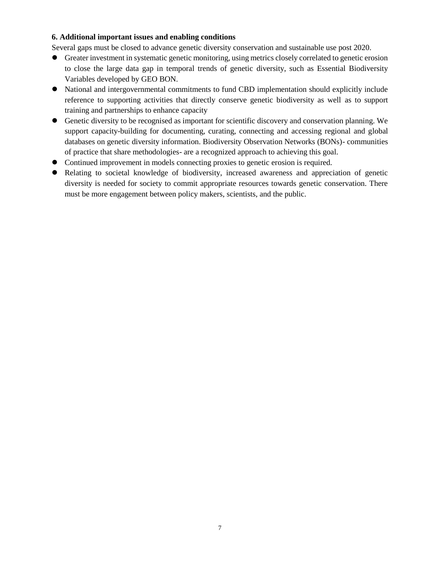## **6. Additional important issues and enabling conditions**

Several gaps must be closed to advance genetic diversity conservation and sustainable use post 2020.

- ⚫ Greater investment in systematic genetic monitoring, using metrics closely correlated to genetic erosion to close the large data gap in temporal trends of genetic diversity, such as Essential Biodiversity Variables developed by GEO BON.
- ⚫ National and intergovernmental commitments to fund CBD implementation should explicitly include reference to supporting activities that directly conserve genetic biodiversity as well as to support training and partnerships to enhance capacity
- ⚫ Genetic diversity to be recognised as important for scientific discovery and conservation planning. We support capacity-building for documenting, curating, connecting and accessing regional and global databases on genetic diversity information. Biodiversity Observation Networks (BONs)- communities of practice that share methodologies- are a recognized approach to achieving this goal.
- ⚫ Continued improvement in models connecting proxies to genetic erosion is required.
- ⚫ Relating to societal knowledge of biodiversity, increased awareness and appreciation of genetic diversity is needed for society to commit appropriate resources towards genetic conservation. There must be more engagement between policy makers, scientists, and the public.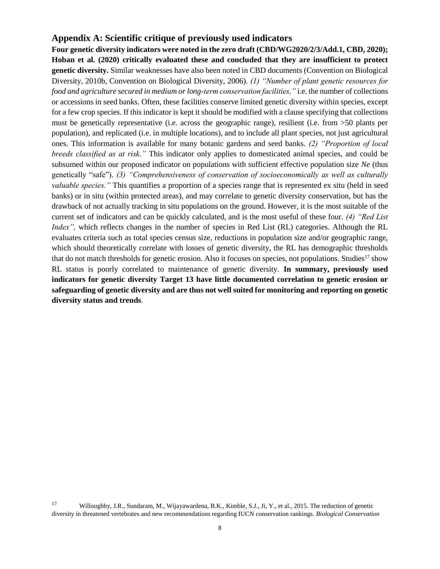# **Appendix A: Scientific critique of previously used indicators**

**Four genetic diversity indicators were noted in the zero draft (CBD/WG2020/2/3/Add.1, CBD, 2020); Hoban et al. (2020) critically evaluated these and concluded that they are insufficient to protect genetic diversity.** Similar weaknesses have also been noted in CBD documents (Convention on Biological Diversity, 2010b, Convention on Biological Diversity, 2006). *(1) "Number of plant genetic resources for food and agriculture secured in medium or long-term conservation facilities,"* i.e. the number of collections or accessions in seed banks. Often, these facilities conserve limited genetic diversity within species, except for a few crop species. If this indicator is kept it should be modified with a clause specifying that collections must be genetically representative (i.e. across the geographic range), resilient (i.e. from >50 plants per population), and replicated (i.e. in multiple locations), and to include all plant species, not just agricultural ones. This information is available for many botanic gardens and seed banks. *(2) "Proportion of local breeds classified as at risk."* This indicator only applies to domesticated animal species, and could be subsumed within our proposed indicator on populations with sufficient effective population size *Ne* (thus genetically "safe"). *(3) "Comprehensiveness of conservation of socioeconomically as well as culturally valuable species."* This quantifies a proportion of a species range that is represented ex situ (held in seed banks) or in situ (within protected areas), and may correlate to genetic diversity conservation, but has the drawback of not actually tracking in situ populations on the ground. However, it is the most suitable of the current set of indicators and can be quickly calculated, and is the most useful of these four. *(4) "Red List Index"*, which reflects changes in the number of species in Red List (RL) categories. Although the RL evaluates criteria such as total species census size, reductions in population size and/or geographic range, which should theoretically correlate with losses of genetic diversity, the RL has demographic thresholds that do not match thresholds for genetic erosion. Also it focuses on species, not populations. Studies<sup>17</sup> show RL status is poorly correlated to maintenance of genetic diversity. **In summary, previously used indicators for genetic diversity Target 13 have little documented correlation to genetic erosion or safeguarding of genetic diversity and are thus not well suited for monitoring and reporting on genetic diversity status and trends**.

<sup>17</sup> Willoughby, J.R., Sundaram, M., Wijayawardena, B.K., Kimble, S.J., Ji, Y., et al., 2015. The reduction of genetic diversity in threatened vertebrates and new recommendations regarding IUCN conservation rankings. *Biological Conservation*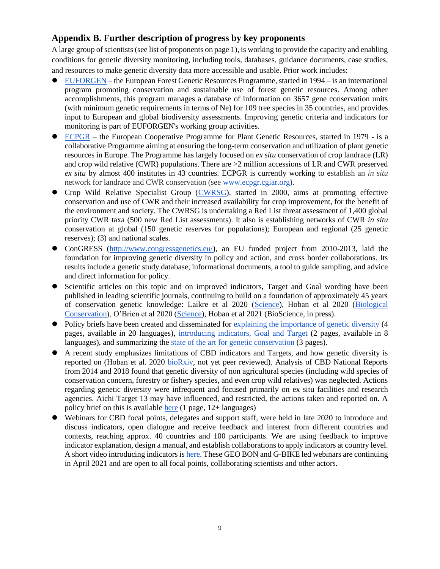# **Appendix B. Further description of progress by key proponents**

A large group of scientists (see list of proponents on page 1), is working to provide the capacity and enabling conditions for genetic diversity monitoring, including tools, databases, guidance documents, case studies, and resources to make genetic diversity data more accessible and usable. Prior work includes:

- ⚫ [EUFORGEN](http://www.euforgen.org/) the European Forest Genetic Resources Programme, started in 1994 is an international program promoting conservation and sustainable use of forest genetic resources. Among other accomplishments, this program manages a database of information on 3657 gene conservation units (with minimum genetic requirements in terms of Ne) for 109 tree species in 35 countries, and provides input to European and global biodiversity assessments. Improving genetic criteria and indicators for monitoring is part of EUFORGEN's working group activities.
- [ECPGR](https://www.ecpgr.cgiar.org/) the European Cooperative Programme for Plant Genetic Resources, started in 1979 is a collaborative Programme aiming at ensuring the long-term conservation and utilization of plant genetic resources in Europe. The Programme has largely focused on *ex situ* conservation of crop landrace (LR) and crop wild relative (CWR) populations. There are >2 million accessions of LR and CWR preserved *ex situ* by almost 400 institutes in 43 countries. ECPGR is currently working to establish an *in situ* network for landrace and CWR conservation (see [www.ecpgr.cgiar.org\)](http://www.ecpgr.cgiar.org/).
- ⚫ Crop Wild Relative Specialist Group [\(CWRSG\)](https://www.iucn.org/commissions/ssc-groups/plants-fungi/plants/plants-a-g/crop-wild-relative), started in 2000, aims at promoting effective conservation and use of CWR and their increased availability for crop improvement, for the benefit of the environment and society. The CWRSG is undertaking a Red List threat assessment of 1,400 global priority CWR taxa (500 new Red List assessments). It also is establishing networks of CWR *in situ* conservation at global (150 genetic reserves for populations); European and regional (25 genetic reserves); (3) and national scales.
- ⚫ ConGRESS [\(http://www.congressgenetics.eu/\)](http://www.congressgenetics.eu/), an EU funded project from 2010-2013, laid the foundation for improving genetic diversity in policy and action, and cross border collaborations. Its results include a genetic study database, informational documents, a tool to guide sampling, and advice and direct information for policy.
- Scientific articles on this topic and on improved indicators, Target and Goal wording have been published in leading scientific journals, continuing to build on a foundation of approximately 45 years of conservation genetic knowledge: Laikre et al 2020 [\(Science\)](https://science.sciencemag.org/content/367/6482/1083.2.full), Hoban et al 2020 [\(Biological](https://www.sciencedirect.com/science/article/pii/S0006320720307126)  [Conservation\)](https://www.sciencedirect.com/science/article/pii/S0006320720307126), O'Brien et al 2020 [\(Science\)](https://science.sciencemag.org/content/368/6496/1193/tab-e-letters), Hoban et al 2021 (BioScience, in press).
- ⚫ Policy briefs have been created and disseminated for [explaining the importance of genetic diversity](https://sites.google.com/fmach.it/g-bike-genetics-eu/policy-briefs/policy-brief_january-2020?authuser=0) (4 pages, available in 20 languages), [introducing indicators, Goal and Target](https://sites.google.com/fmach.it/g-bike-genetics-eu/policy-briefs/biol-cons-pbs-translated?authuser=0) (2 pages, available in 8 languages), and summarizing the [state of the art for genetic conservation](https://docs.google.com/document/d/1t92SH_rE2vOVdtvhsiB72iDAZvPmwHgZnJcJkLXXLHg/edit?usp=sharing) (3 pages).
- ⚫ A recent study emphasizes limitations of CBD indicators and Targets, and how genetic diversity is reported on (Hoban et al. 2020 [bioRxiv,](https://www.biorxiv.org/content/10.1101/2020.08.28.254672v1) not yet peer reviewed). Analysis of CBD National Reports from 2014 and 2018 found that genetic diversity of non agricultural species (including wild species of conservation concern, forestry or fishery species, and even crop wild relatives) was neglected. Actions regarding genetic diversity were infrequent and focused primarily on ex situ facilities and research agencies. Aichi Target 13 may have influenced, and restricted, the actions taken and reported on. A policy brief on this is availabl[e here](https://sites.google.com/fmach.it/g-bike-genetics-eu/policy-briefs/policy-brief-on-cbd-5th-and-6th-national-reports) (1 page, 12+ languages)
- ⚫ Webinars for CBD focal points, delegates and support staff, were held in late 2020 to introduce and discuss indicators, open dialogue and receive feedback and interest from different countries and contexts, reaching approx. 40 countries and 100 participants. We are using feedback to improve indicator explanation, design a manual, and establish collaborations to apply indicators at country level. A short video introducing indicators i[s here.](https://drive.google.com/file/d/1iAZqmI3GuJcSCSZ88R4kWYBSnSAPBEKs/view?usp=sharing) These GEO BON and G-BIKE led webinars are continuing in April 2021 and are open to all focal points, collaborating scientists and other actors.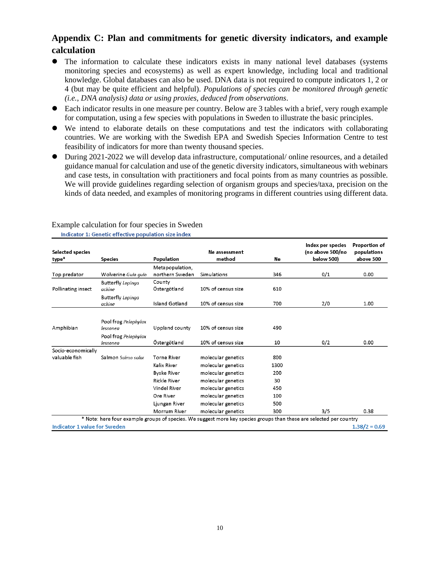# **Appendix C: Plan and commitments for genetic diversity indicators, and example calculation**

- ⚫ The information to calculate these indicators exists in many national level databases (systems monitoring species and ecosystems) as well as expert knowledge, including local and traditional knowledge. Global databases can also be used. DNA data is not required to compute indicators 1, 2 or 4 (but may be quite efficient and helpful). *Populations of species can be monitored through genetic (i.e., DNA analysis) data or using proxies, deduced from observations*.
- Each indicator results in one measure per country. Below are 3 tables with a brief, very rough example for computation, using a few species with populations in Sweden to illustrate the basic principles.
- ⚫ We intend to elaborate details on these computations and test the indicators with collaborating countries. We are working with the Swedish EPA and Swedish Species Information Centre to test feasibility of indicators for more than twenty thousand species.
- ⚫ During 2021-2022 we will develop data infrastructure, computational/ online resources, and a detailed guidance manual for calculation and use of the genetic diversity indicators, simultaneous with webinars and case tests, in consultation with practitioners and focal points from as many countries as possible. We will provide guidelines regarding selection of organism groups and species/taxa, precision on the kinds of data needed, and examples of monitoring programs in different countries using different data.

| Selected species                                                                                                    |                                    |                                    | Ne assessment      |      | Index per species<br>(no above 500/no | Proportion of<br>populations |
|---------------------------------------------------------------------------------------------------------------------|------------------------------------|------------------------------------|--------------------|------|---------------------------------------|------------------------------|
| type*                                                                                                               | <b>Species</b>                     | <b>Population</b>                  | method             | Ne   | below 500)                            | above 500                    |
| Top predator                                                                                                        | Wolverine Gulo qulo                | Metapopulation,<br>northern Sweden | Simulations        | 346  | 0/1                                   | 0.00                         |
| Pollinating insect                                                                                                  | <b>Butterfly Lopinga</b><br>achine | County<br>Östergötland             | 10% of census size | 610  |                                       |                              |
|                                                                                                                     | <b>Butterfly</b> Lopinga<br>achine | Island Gotland                     | 10% of census size | 700  | 2/0                                   | 1.00                         |
|                                                                                                                     | Pool frog Pelophylax               |                                    |                    |      |                                       |                              |
| Amphibian                                                                                                           | lessonea                           | Uppland county                     | 10% of census size | 490  |                                       |                              |
|                                                                                                                     | Pool frog Pelophylax<br>lessonea   | Östergötland                       | 10% of census size | 10   | 0/2                                   | 0.00                         |
| Socio-economically                                                                                                  |                                    |                                    |                    |      |                                       |                              |
| valuable fish                                                                                                       | Salmon Salmo salar                 | <b>Torne River</b>                 | molecular genetics | 800  |                                       |                              |
|                                                                                                                     |                                    | Kalix River                        | molecular genetics | 1300 |                                       |                              |
|                                                                                                                     |                                    | <b>Byske River</b>                 | molecular genetics | 200  |                                       |                              |
|                                                                                                                     |                                    | <b>Rickle River</b>                | molecular genetics | 30   |                                       |                              |
|                                                                                                                     |                                    | <b>Vindel River</b>                | molecular genetics | 450  |                                       |                              |
|                                                                                                                     |                                    | Ore River                          | molecular genetics | 100  |                                       |                              |
|                                                                                                                     |                                    | Ljungan River                      | molecular genetics | 500  |                                       |                              |
|                                                                                                                     |                                    | Morrum River                       | molecular genetics | 300  | 3/5                                   | 0.38                         |
| * Note: here four example groups of species. We suggest more key species groups than these are selected per country |                                    |                                    |                    |      |                                       |                              |
| <b>Indicator 1 value for Sweden</b>                                                                                 |                                    |                                    |                    |      |                                       | $1.38/2 = 0.69$              |

#### Example calculation for four species in SwedenIndicator 1: Genetic effective population size index